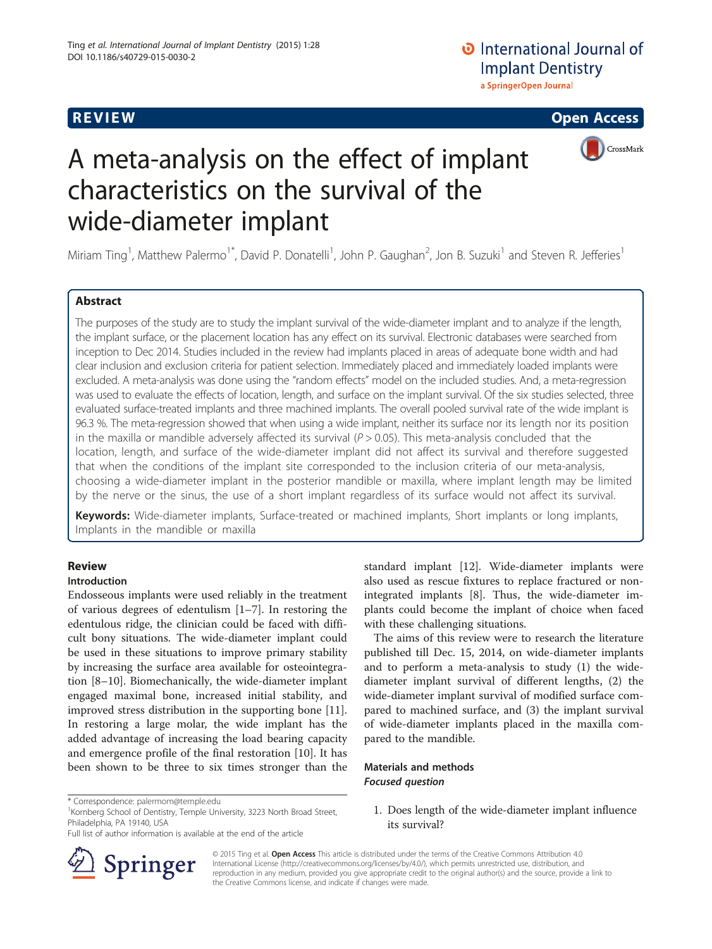

# A meta-analysis on the effect of implant characteristics on the survival of the wide-diameter implant

Miriam Ting<sup>1</sup>, Matthew Palermo<sup>1\*</sup>, David P. Donatelli<sup>1</sup>, John P. Gaughan<sup>2</sup>, Jon B. Suzuki<sup>1</sup> and Steven R. Jefferies<sup>1</sup>

# **Abstract**

The purposes of the study are to study the implant survival of the wide-diameter implant and to analyze if the length, the implant surface, or the placement location has any effect on its survival. Electronic databases were searched from inception to Dec 2014. Studies included in the review had implants placed in areas of adequate bone width and had clear inclusion and exclusion criteria for patient selection. Immediately placed and immediately loaded implants were excluded. A meta-analysis was done using the "random effects" model on the included studies. And, a meta-regression was used to evaluate the effects of location, length, and surface on the implant survival. Of the six studies selected, three evaluated surface-treated implants and three machined implants. The overall pooled survival rate of the wide implant is 96.3 %. The meta-regression showed that when using a wide implant, neither its surface nor its length nor its position in the maxilla or mandible adversely affected its survival  $(P > 0.05)$ . This meta-analysis concluded that the location, length, and surface of the wide-diameter implant did not affect its survival and therefore suggested that when the conditions of the implant site corresponded to the inclusion criteria of our meta-analysis, choosing a wide-diameter implant in the posterior mandible or maxilla, where implant length may be limited by the nerve or the sinus, the use of a short implant regardless of its surface would not affect its survival.

Keywords: Wide-diameter implants, Surface-treated or machined implants, Short implants or long implants, Implants in the mandible or maxilla

# **Review**

# Introduction

Endosseous implants were used reliably in the treatment of various degrees of edentulism [\[1](#page-6-0)–[7\]](#page-6-0). In restoring the edentulous ridge, the clinician could be faced with difficult bony situations. The wide-diameter implant could be used in these situations to improve primary stability by increasing the surface area available for osteointegration [\[8](#page-6-0)–[10](#page-7-0)]. Biomechanically, the wide-diameter implant engaged maximal bone, increased initial stability, and improved stress distribution in the supporting bone [\[11](#page-7-0)]. In restoring a large molar, the wide implant has the added advantage of increasing the load bearing capacity and emergence profile of the final restoration [\[10](#page-7-0)]. It has been shown to be three to six times stronger than the

<sup>1</sup>Kornberg School of Dentistry, Temple University, 3223 North Broad Street, Philadelphia, PA 19140, USA



The aims of this review were to research the literature published till Dec. 15, 2014, on wide-diameter implants and to perform a meta-analysis to study (1) the widediameter implant survival of different lengths, (2) the wide-diameter implant survival of modified surface compared to machined surface, and (3) the implant survival of wide-diameter implants placed in the maxilla compared to the mandible.

# Materials and methods Focused question

1. Does length of the wide-diameter implant influence its survival?

© 2015 Ting et al. Open Access This article is distributed under the terms of the Creative Commons Attribution 4.0 International License ([http://creativecommons.org/licenses/by/4.0/\)](http://creativecommons.org/licenses/by/4.0/), which permits unrestricted use, distribution, and reproduction in any medium, provided you give appropriate credit to the original author(s) and the source, provide a link to the Creative Commons license, and indicate if changes were made.



<sup>\*</sup> Correspondence: [palermom@temple.edu](mailto:palermom@temple.edu) <sup>1</sup>

Full list of author information is available at the end of the article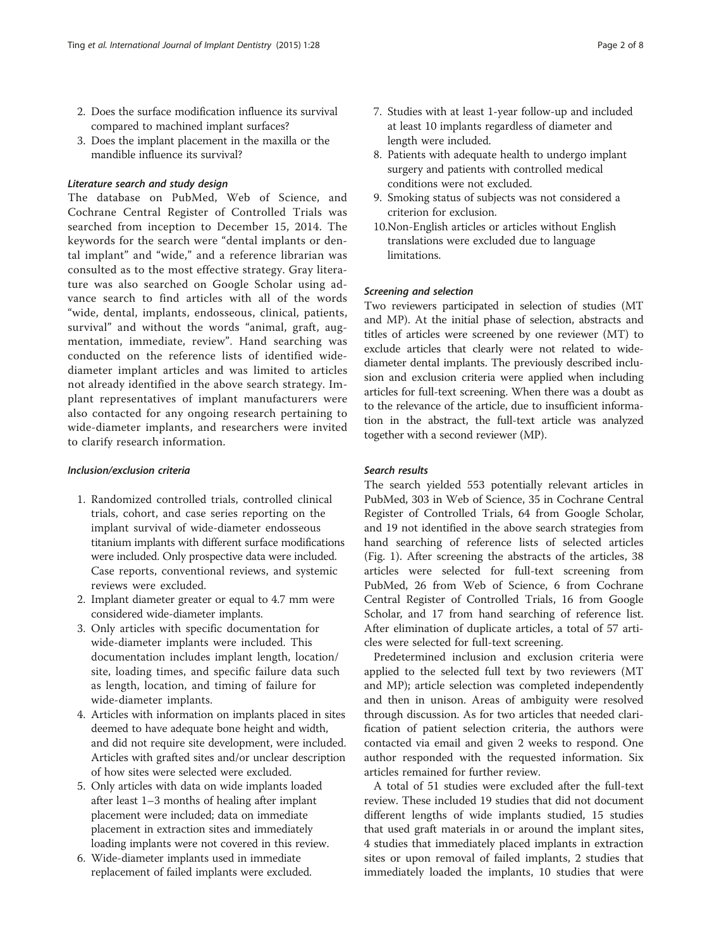- 2. Does the surface modification influence its survival compared to machined implant surfaces?
- 3. Does the implant placement in the maxilla or the mandible influence its survival?

#### Literature search and study design

The database on PubMed, Web of Science, and Cochrane Central Register of Controlled Trials was searched from inception to December 15, 2014. The keywords for the search were "dental implants or dental implant" and "wide," and a reference librarian was consulted as to the most effective strategy. Gray literature was also searched on Google Scholar using advance search to find articles with all of the words "wide, dental, implants, endosseous, clinical, patients, survival" and without the words "animal, graft, augmentation, immediate, review". Hand searching was conducted on the reference lists of identified widediameter implant articles and was limited to articles not already identified in the above search strategy. Implant representatives of implant manufacturers were also contacted for any ongoing research pertaining to wide-diameter implants, and researchers were invited to clarify research information.

#### Inclusion/exclusion criteria

- 1. Randomized controlled trials, controlled clinical trials, cohort, and case series reporting on the implant survival of wide-diameter endosseous titanium implants with different surface modifications were included. Only prospective data were included. Case reports, conventional reviews, and systemic reviews were excluded.
- 2. Implant diameter greater or equal to 4.7 mm were considered wide-diameter implants.
- 3. Only articles with specific documentation for wide-diameter implants were included. This documentation includes implant length, location/ site, loading times, and specific failure data such as length, location, and timing of failure for wide-diameter implants.
- 4. Articles with information on implants placed in sites deemed to have adequate bone height and width, and did not require site development, were included. Articles with grafted sites and/or unclear description of how sites were selected were excluded.
- 5. Only articles with data on wide implants loaded after least 1–3 months of healing after implant placement were included; data on immediate placement in extraction sites and immediately loading implants were not covered in this review.
- 6. Wide-diameter implants used in immediate replacement of failed implants were excluded.
- 7. Studies with at least 1-year follow-up and included at least 10 implants regardless of diameter and length were included.
- 8. Patients with adequate health to undergo implant surgery and patients with controlled medical conditions were not excluded.
- 9. Smoking status of subjects was not considered a criterion for exclusion.
- 10.Non-English articles or articles without English translations were excluded due to language limitations.

## Screening and selection

Two reviewers participated in selection of studies (MT and MP). At the initial phase of selection, abstracts and titles of articles were screened by one reviewer (MT) to exclude articles that clearly were not related to widediameter dental implants. The previously described inclusion and exclusion criteria were applied when including articles for full-text screening. When there was a doubt as to the relevance of the article, due to insufficient information in the abstract, the full-text article was analyzed together with a second reviewer (MP).

#### Search results

The search yielded 553 potentially relevant articles in PubMed, 303 in Web of Science, 35 in Cochrane Central Register of Controlled Trials, 64 from Google Scholar, and 19 not identified in the above search strategies from hand searching of reference lists of selected articles (Fig. [1](#page-2-0)). After screening the abstracts of the articles, 38 articles were selected for full-text screening from PubMed, 26 from Web of Science, 6 from Cochrane Central Register of Controlled Trials, 16 from Google Scholar, and 17 from hand searching of reference list. After elimination of duplicate articles, a total of 57 articles were selected for full-text screening.

Predetermined inclusion and exclusion criteria were applied to the selected full text by two reviewers (MT and MP); article selection was completed independently and then in unison. Areas of ambiguity were resolved through discussion. As for two articles that needed clarification of patient selection criteria, the authors were contacted via email and given 2 weeks to respond. One author responded with the requested information. Six articles remained for further review.

A total of 51 studies were excluded after the full-text review. These included 19 studies that did not document different lengths of wide implants studied, 15 studies that used graft materials in or around the implant sites, 4 studies that immediately placed implants in extraction sites or upon removal of failed implants, 2 studies that immediately loaded the implants, 10 studies that were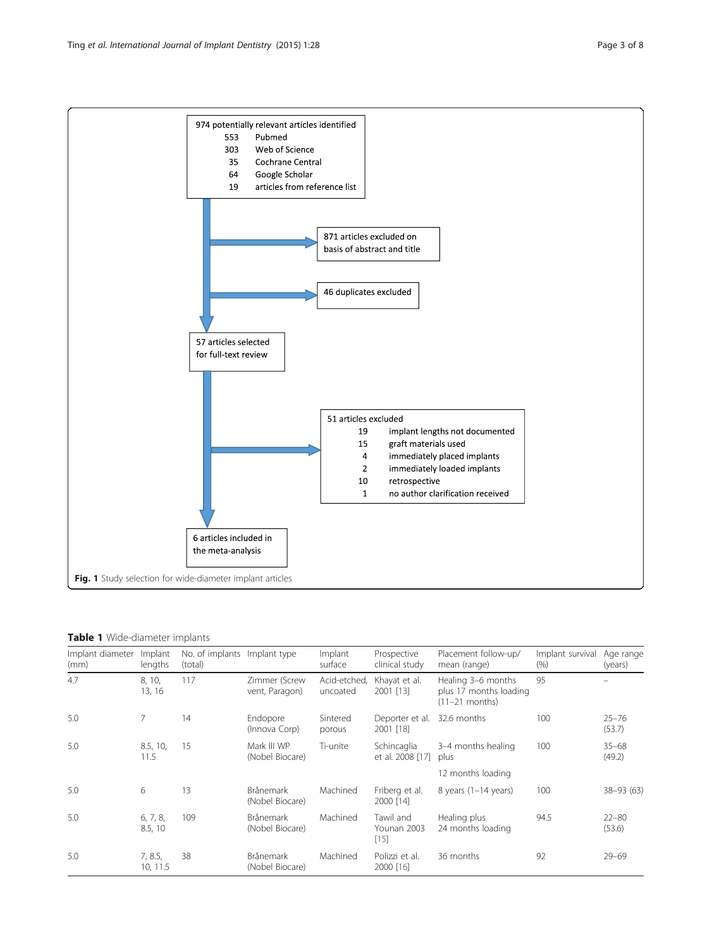<span id="page-2-0"></span>

## Table 1 Wide-diameter implants

| Implant diameter<br>(mm) | Implant<br>lengths  | No. of implants Implant type<br>(total) |                                     | Implant<br>surface       | Prospective<br>clinical study      | Placement follow-up/<br>mean (range)                             | Implant survival<br>(% ) | Age range<br>(years) |
|--------------------------|---------------------|-----------------------------------------|-------------------------------------|--------------------------|------------------------------------|------------------------------------------------------------------|--------------------------|----------------------|
| 4.7                      | 8, 10,<br>13, 16    | 117                                     | Zimmer (Screw<br>vent, Paragon)     | Acid-etched,<br>uncoated | Khayat et al.<br>2001 [13]         | Healing 3-6 months<br>plus 17 months loading<br>$(11-21$ months) | 95                       |                      |
| 5.0                      | 7                   | 14                                      | Endopore<br>(Innova Corp)           | Sintered<br>porous       | Deporter et al.<br>2001 [18]       | 32.6 months                                                      | 100                      | $25 - 76$<br>(53.7)  |
| 5.0                      | 8.5, 10,<br>11.5    | 15                                      | Mark III WP<br>(Nobel Biocare)      | Ti-unite                 | Schincaglia<br>et al. 2008 [17]    | 3-4 months healing<br>plus                                       | 100                      | $35 - 68$<br>(49.2)  |
|                          |                     |                                         |                                     |                          |                                    | 12 months loading                                                |                          |                      |
| 5.0                      | 6                   | 13                                      | <b>Brånemark</b><br>(Nobel Biocare) | Machined                 | Friberg et al.<br>2000 [14]        | 8 years $(1-14$ years)                                           | 100                      | 38-93 (63)           |
| 5.0                      | 6, 7, 8,<br>8.5, 10 | 109                                     | <b>Brånemark</b><br>(Nobel Biocare) | Machined                 | Tawil and<br>Younan 2003<br>$[15]$ | Healing plus<br>24 months loading                                | 94.5                     | $22 - 80$<br>(53.6)  |
| 5.0                      | 7, 8.5,<br>10, 11.5 | 38                                      | <b>Brånemark</b><br>(Nobel Biocare) | Machined                 | Polizzi et al.<br>2000 [16]        | 36 months                                                        | 92                       | $29 - 69$            |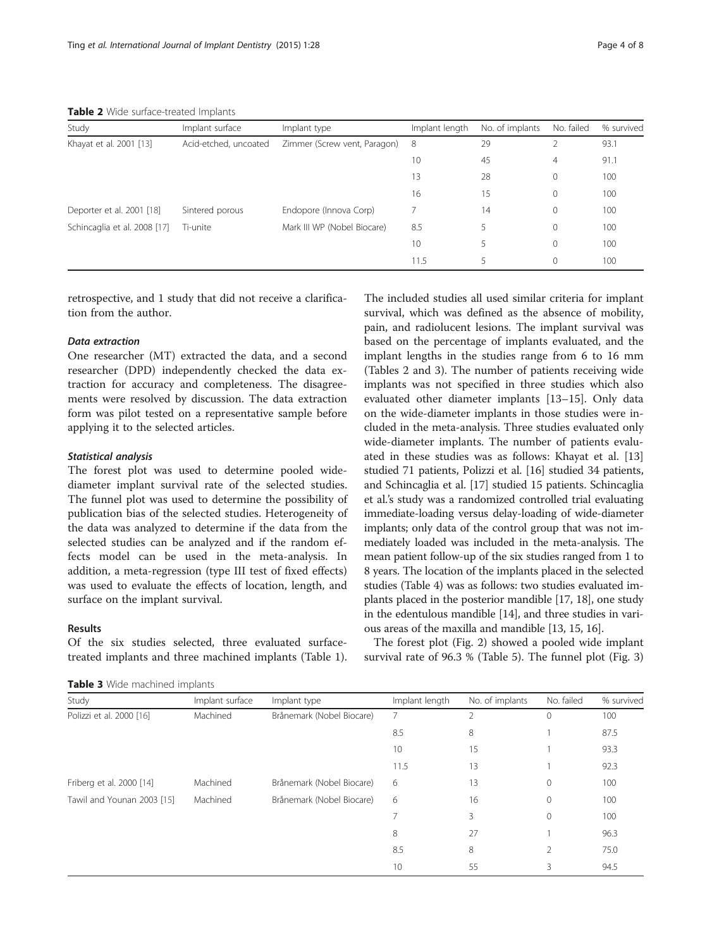Table 2 Wide surface-treated Implants

| Study                        | Implant surface       | Implant type                 | Implant length | No. of implants | No. failed     | % survived |
|------------------------------|-----------------------|------------------------------|----------------|-----------------|----------------|------------|
| Khayat et al. 2001 [13]      | Acid-etched, uncoated | Zimmer (Screw vent, Paragon) | 8              | 29              | $\mathfrak{D}$ | 93.1       |
|                              |                       |                              | 10             | 45              | $\overline{4}$ | 91.1       |
|                              |                       |                              | 13             | 28              | $\mathbf{0}$   | 100        |
|                              |                       |                              | 16             | 15              | $\mathbf{0}$   | 100        |
| Deporter et al. 2001 [18]    | Sintered porous       | Endopore (Innova Corp)       |                | 14              | $\circ$        | 100        |
| Schincaglia et al. 2008 [17] | Ti-unite              | Mark III WP (Nobel Biocare)  | 8.5            | 5               | $\mathbf{0}$   | 100        |
|                              |                       |                              | 10             | 5               | $\Omega$       | 100        |
|                              |                       |                              | 11.5           | 5               | $\mathbf{0}$   | 100        |

retrospective, and 1 study that did not receive a clarification from the author.

#### Data extraction

One researcher (MT) extracted the data, and a second researcher (DPD) independently checked the data extraction for accuracy and completeness. The disagreements were resolved by discussion. The data extraction form was pilot tested on a representative sample before applying it to the selected articles.

## Statistical analysis

The forest plot was used to determine pooled widediameter implant survival rate of the selected studies. The funnel plot was used to determine the possibility of publication bias of the selected studies. Heterogeneity of the data was analyzed to determine if the data from the selected studies can be analyzed and if the random effects model can be used in the meta-analysis. In addition, a meta-regression (type III test of fixed effects) was used to evaluate the effects of location, length, and surface on the implant survival.

#### Results

Of the six studies selected, three evaluated surfacetreated implants and three machined implants (Table [1](#page-2-0)).

Table 3 Wide machined implants

The included studies all used similar criteria for implant survival, which was defined as the absence of mobility, pain, and radiolucent lesions. The implant survival was based on the percentage of implants evaluated, and the implant lengths in the studies range from 6 to 16 mm (Tables 2 and 3). The number of patients receiving wide implants was not specified in three studies which also evaluated other diameter implants [\[13](#page-7-0)–[15\]](#page-7-0). Only data on the wide-diameter implants in those studies were included in the meta-analysis. Three studies evaluated only wide-diameter implants. The number of patients evaluated in these studies was as follows: Khayat et al. [[13](#page-7-0)] studied 71 patients, Polizzi et al. [\[16\]](#page-7-0) studied 34 patients, and Schincaglia et al. [\[17\]](#page-7-0) studied 15 patients. Schincaglia et al.'s study was a randomized controlled trial evaluating immediate-loading versus delay-loading of wide-diameter implants; only data of the control group that was not immediately loaded was included in the meta-analysis. The mean patient follow-up of the six studies ranged from 1 to 8 years. The location of the implants placed in the selected studies (Table [4\)](#page-4-0) was as follows: two studies evaluated implants placed in the posterior mandible [[17](#page-7-0), [18\]](#page-7-0), one study in the edentulous mandible [[14](#page-7-0)], and three studies in various areas of the maxilla and mandible [[13](#page-7-0), [15, 16](#page-7-0)].

The forest plot (Fig. [2\)](#page-4-0) showed a pooled wide implant survival rate of 96.3 % (Table [5](#page-5-0)). The funnel plot (Fig. [3](#page-5-0))

| Study                      | Implant surface | Implant type              | Implant length | No. of implants | No. failed   | % survived |
|----------------------------|-----------------|---------------------------|----------------|-----------------|--------------|------------|
| Polizzi et al. 2000 [16]   | Machined        | Brånemark (Nobel Biocare) | 7              | 2               | 0            | 100        |
|                            |                 |                           | 8.5            | 8               |              | 87.5       |
|                            |                 |                           | 10             | 15              |              | 93.3       |
|                            |                 |                           | 11.5           | 13              |              | 92.3       |
| Friberg et al. 2000 [14]   | Machined        | Brånemark (Nobel Biocare) | 6              | 13              | $\circ$      | 100        |
| Tawil and Younan 2003 [15] | Machined        | Brånemark (Nobel Biocare) | 6              | 16              | $\mathbf{0}$ | 100        |
|                            |                 |                           |                | 3               | $\mathbf{0}$ | 100        |
|                            |                 |                           | 8              | 27              |              | 96.3       |
|                            |                 |                           | 8.5            | 8               | 2            | 75.0       |
|                            |                 |                           | 10             | 55              | 3            | 94.5       |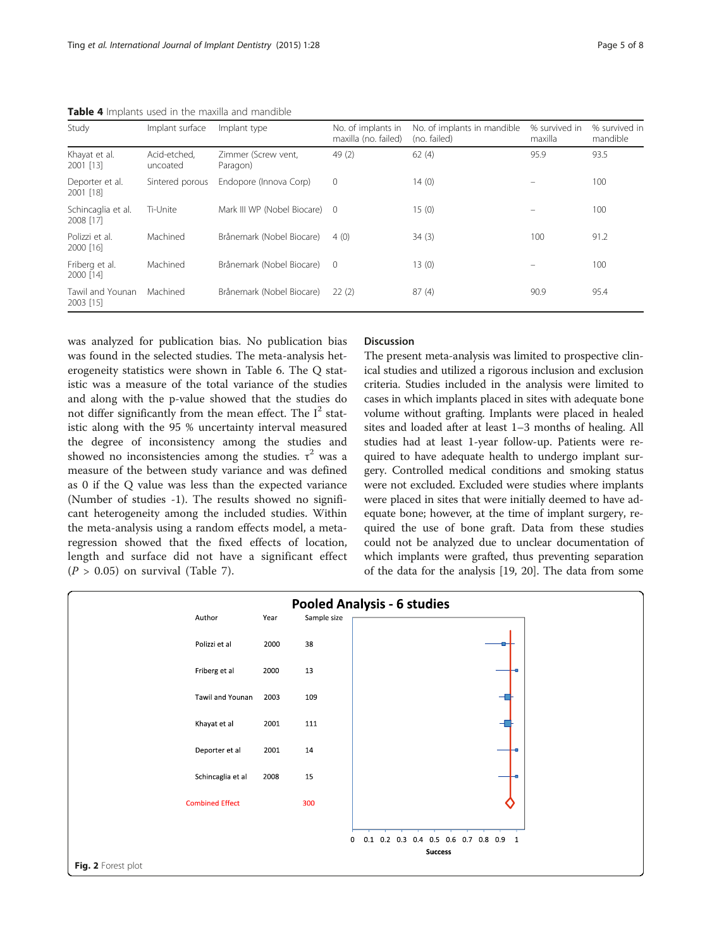| Study                           | Implant surface          | Implant type                    | No. of implants in<br>maxilla (no. failed) | No. of implants in mandible<br>(no. failed) | % survived in<br>maxilla | % survived in<br>mandible |
|---------------------------------|--------------------------|---------------------------------|--------------------------------------------|---------------------------------------------|--------------------------|---------------------------|
| Khayat et al.<br>2001 [13]      | Acid-etched.<br>uncoated | Zimmer (Screw vent,<br>Paragon) | 49(2)                                      | 62(4)                                       | 95.9                     | 93.5                      |
| Deporter et al.<br>2001 [18]    | Sintered porous          | Endopore (Innova Corp)          | $\mathbf{0}$                               | 14(0)                                       |                          | 100                       |
| Schincaglia et al.<br>2008 [17] | Ti-Unite                 | Mark III WP (Nobel Biocare) 0   |                                            | 15(0)                                       |                          | 100                       |
| Polizzi et al.<br>2000 [16]     | Machined                 | Brånemark (Nobel Biocare)       | 4(0)                                       | 34(3)                                       | 100                      | 91.2                      |
| Friberg et al.<br>2000 [14]     | Machined                 | Brånemark (Nobel Biocare)       | $\Omega$                                   | 13(0)                                       |                          | 100                       |
| Tawil and Younan<br>2003 [15]   | Machined                 | Brånemark (Nobel Biocare)       | 22(2)                                      | 87(4)                                       | 90.9                     | 95.4                      |

<span id="page-4-0"></span>Table 4 Implants used in the maxilla and mandible

was analyzed for publication bias. No publication bias was found in the selected studies. The meta-analysis heterogeneity statistics were shown in Table [6.](#page-5-0) The Q statistic was a measure of the total variance of the studies and along with the p-value showed that the studies do not differ significantly from the mean effect. The  $I^2$  statistic along with the 95 % uncertainty interval measured the degree of inconsistency among the studies and showed no inconsistencies among the studies.  $\tau^2$  was a measure of the between study variance and was defined as 0 if the Q value was less than the expected variance (Number of studies -1). The results showed no significant heterogeneity among the included studies. Within the meta-analysis using a random effects model, a metaregression showed that the fixed effects of location, length and surface did not have a significant effect  $(P > 0.05)$  on survival (Table [7](#page-6-0)).

# Discussion

The present meta-analysis was limited to prospective clinical studies and utilized a rigorous inclusion and exclusion criteria. Studies included in the analysis were limited to cases in which implants placed in sites with adequate bone volume without grafting. Implants were placed in healed sites and loaded after at least 1–3 months of healing. All studies had at least 1-year follow-up. Patients were required to have adequate health to undergo implant surgery. Controlled medical conditions and smoking status were not excluded. Excluded were studies where implants were placed in sites that were initially deemed to have adequate bone; however, at the time of implant surgery, required the use of bone graft. Data from these studies could not be analyzed due to unclear documentation of which implants were grafted, thus preventing separation of the data for the analysis [\[19, 20\]](#page-7-0). The data from some

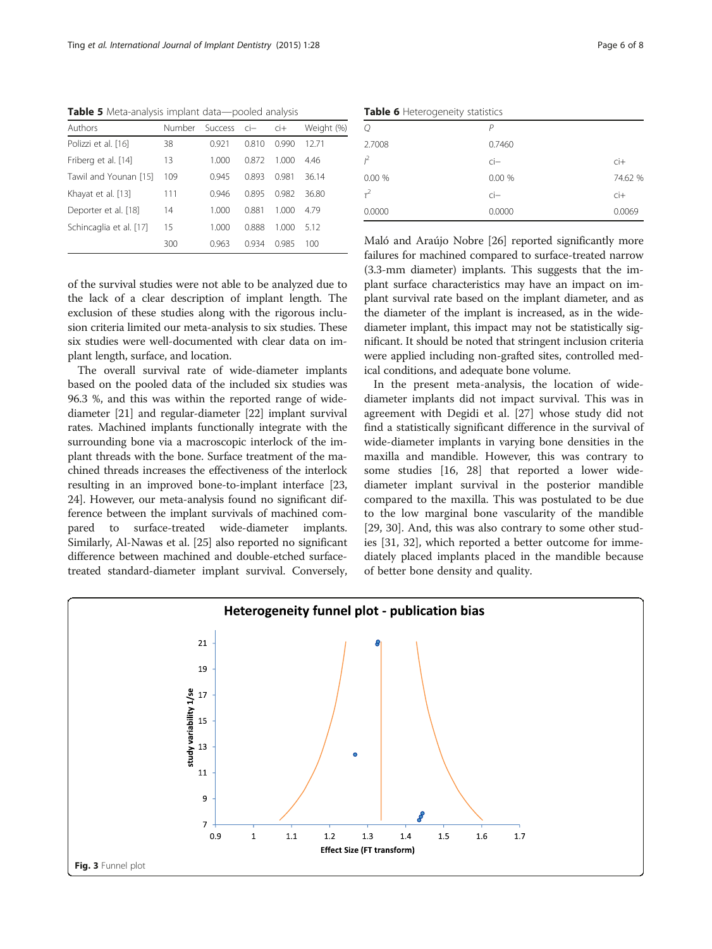<span id="page-5-0"></span>Table 5 Meta-analysis implant data-pooled analysis

| Authors                 | Number | Success ci- |       | $\overline{c}$ | Weight (%) |
|-------------------------|--------|-------------|-------|----------------|------------|
| Polizzi et al. [16]     | 38     | 0.921       | 0.810 | 0.990          | 12.71      |
| Friberg et al. [14]     | 13     | 1.000       | 0.872 | 1.000          | 4.46       |
| Tawil and Younan [15]   | 109    | 0.945       | 0.893 | 0.981          | 36.14      |
| Khayat et al. [13]      | 111    | 0.946       | 0.895 | 0.982          | 36.80      |
| Deporter et al. [18]    | 14     | 1.000       | 0.881 | 1.000          | 4.79       |
| Schincaglia et al. [17] | 15     | 1.000       | 0.888 | 1.000          | 512        |
|                         | 300    | 0.963       | በ 934 | 0.985          | 100        |

of the survival studies were not able to be analyzed due to the lack of a clear description of implant length. The exclusion of these studies along with the rigorous inclusion criteria limited our meta-analysis to six studies. These six studies were well-documented with clear data on implant length, surface, and location.

The overall survival rate of wide-diameter implants based on the pooled data of the included six studies was 96.3 %, and this was within the reported range of widediameter [\[21\]](#page-7-0) and regular-diameter [\[22\]](#page-7-0) implant survival rates. Machined implants functionally integrate with the surrounding bone via a macroscopic interlock of the implant threads with the bone. Surface treatment of the machined threads increases the effectiveness of the interlock resulting in an improved bone-to-implant interface [[23](#page-7-0), [24](#page-7-0)]. However, our meta-analysis found no significant difference between the implant survivals of machined compared to surface-treated wide-diameter implants. Similarly, Al-Nawas et al. [[25](#page-7-0)] also reported no significant difference between machined and double-etched surfacetreated standard-diameter implant survival. Conversely,

Table 6 Heterogeneity statistics

| <b>Hable O</b> Heterogeneity Statistics |                 |                       |  |  |  |  |
|-----------------------------------------|-----------------|-----------------------|--|--|--|--|
| $\mathcal{Q}$                           | Ρ               |                       |  |  |  |  |
| 2.7008                                  | 0.7460          |                       |  |  |  |  |
| $l^2$                                   | $\overline{CI}$ | $\mathsf{ci}\text{+}$ |  |  |  |  |
| 0.00%                                   | 0.00 %          | 74.62 %               |  |  |  |  |
| $\tau^2$                                | $\overline{CI}$ | $\overline{c}$ i+     |  |  |  |  |
| 0.0000                                  | 0.0000          | 0.0069                |  |  |  |  |
|                                         |                 |                       |  |  |  |  |

Maló and Araújo Nobre [\[26](#page-7-0)] reported significantly more failures for machined compared to surface-treated narrow (3.3-mm diameter) implants. This suggests that the implant surface characteristics may have an impact on implant survival rate based on the implant diameter, and as the diameter of the implant is increased, as in the widediameter implant, this impact may not be statistically significant. It should be noted that stringent inclusion criteria were applied including non-grafted sites, controlled medical conditions, and adequate bone volume.

In the present meta-analysis, the location of widediameter implants did not impact survival. This was in agreement with Degidi et al. [[27\]](#page-7-0) whose study did not find a statistically significant difference in the survival of wide-diameter implants in varying bone densities in the maxilla and mandible. However, this was contrary to some studies [\[16](#page-7-0), [28](#page-7-0)] that reported a lower widediameter implant survival in the posterior mandible compared to the maxilla. This was postulated to be due to the low marginal bone vascularity of the mandible [[29, 30\]](#page-7-0). And, this was also contrary to some other studies [\[31, 32](#page-7-0)], which reported a better outcome for immediately placed implants placed in the mandible because of better bone density and quality.

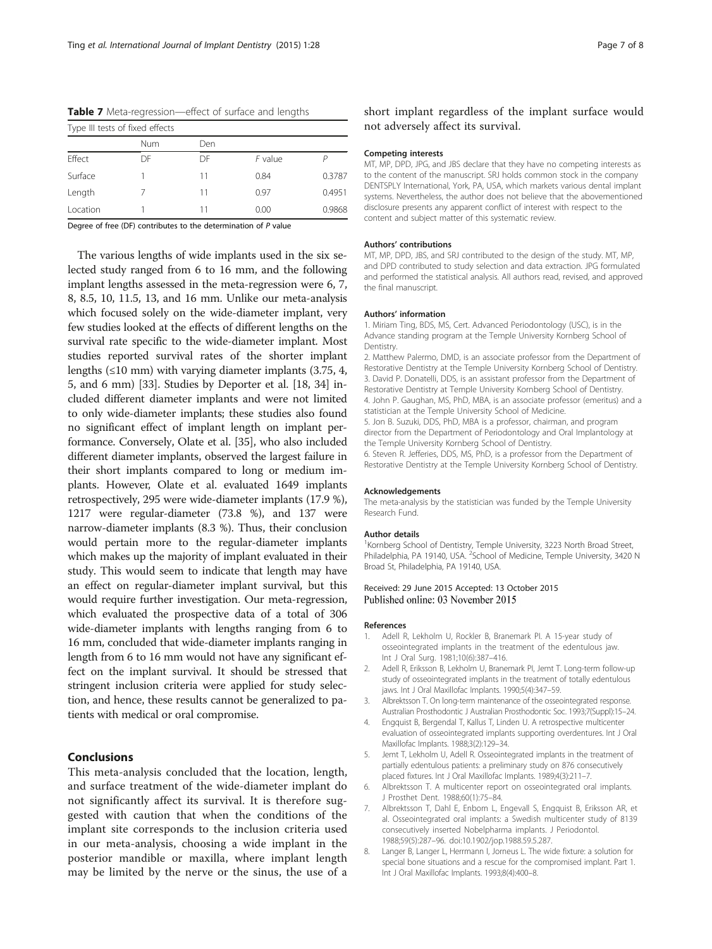| Type III tests of fixed effects |     |     |         |        |
|---------------------------------|-----|-----|---------|--------|
|                                 | Num | Den |         |        |
| Effect                          | DF  | DF  | F value |        |
| Surface                         |     | 11  | 0.84    | 0.3787 |
| Length                          |     | 11  | 0.97    | 0.4951 |
| Location                        |     | 11  | 0.00    | 0.9868 |

<span id="page-6-0"></span>Table 7 Meta-regression-effect of surface and lengths

Degree of free (DF) contributes to the determination of P value

The various lengths of wide implants used in the six selected study ranged from 6 to 16 mm, and the following implant lengths assessed in the meta-regression were 6, 7, 8, 8.5, 10, 11.5, 13, and 16 mm. Unlike our meta-analysis which focused solely on the wide-diameter implant, very few studies looked at the effects of different lengths on the survival rate specific to the wide-diameter implant. Most studies reported survival rates of the shorter implant lengths  $(\leq 10 \text{ mm})$  with varying diameter implants  $(3.75, 4, 4)$ 5, and 6 mm) [\[33\]](#page-7-0). Studies by Deporter et al. [\[18, 34\]](#page-7-0) included different diameter implants and were not limited to only wide-diameter implants; these studies also found no significant effect of implant length on implant performance. Conversely, Olate et al. [\[35\]](#page-7-0), who also included different diameter implants, observed the largest failure in their short implants compared to long or medium implants. However, Olate et al. evaluated 1649 implants retrospectively, 295 were wide-diameter implants (17.9 %), 1217 were regular-diameter (73.8 %), and 137 were narrow-diameter implants (8.3 %). Thus, their conclusion would pertain more to the regular-diameter implants which makes up the majority of implant evaluated in their study. This would seem to indicate that length may have an effect on regular-diameter implant survival, but this would require further investigation. Our meta-regression, which evaluated the prospective data of a total of 306 wide-diameter implants with lengths ranging from 6 to 16 mm, concluded that wide-diameter implants ranging in length from 6 to 16 mm would not have any significant effect on the implant survival. It should be stressed that stringent inclusion criteria were applied for study selection, and hence, these results cannot be generalized to patients with medical or oral compromise.

This meta-analysis concluded that the location, length, and surface treatment of the wide-diameter implant do not significantly affect its survival. It is therefore suggested with caution that when the conditions of the implant site corresponds to the inclusion criteria used in our meta-analysis, choosing a wide implant in the posterior mandible or maxilla, where implant length may be limited by the nerve or the sinus, the use of a short implant regardless of the implant surface would not adversely affect its survival.

#### Competing interests

MT, MP, DPD, JPG, and JBS declare that they have no competing interests as to the content of the manuscript. SRJ holds common stock in the company DENTSPLY International, York, PA, USA, which markets various dental implant systems. Nevertheless, the author does not believe that the abovementioned disclosure presents any apparent conflict of interest with respect to the content and subject matter of this systematic review.

#### Authors' contributions

MT, MP, DPD, JBS, and SRJ contributed to the design of the study. MT, MP, and DPD contributed to study selection and data extraction. JPG formulated and performed the statistical analysis. All authors read, revised, and approved the final manuscript.

#### Authors' information

1. Miriam Ting, BDS, MS, Cert. Advanced Periodontology (USC), is in the Advance standing program at the Temple University Kornberg School of Dentistry.

2. Matthew Palermo, DMD, is an associate professor from the Department of Restorative Dentistry at the Temple University Kornberg School of Dentistry. 3. David P. Donatelli, DDS, is an assistant professor from the Department of Restorative Dentistry at Temple University Kornberg School of Dentistry. 4. John P. Gaughan, MS, PhD, MBA, is an associate professor (emeritus) and a statistician at the Temple University School of Medicine.

5. Jon B. Suzuki, DDS, PhD, MBA is a professor, chairman, and program director from the Department of Periodontology and Oral Implantology at the Temple University Kornberg School of Dentistry.

6. Steven R. Jefferies, DDS, MS, PhD, is a professor from the Department of Restorative Dentistry at the Temple University Kornberg School of Dentistry.

#### Acknowledgements

The meta-analysis by the statistician was funded by the Temple University Research Fund.

#### Author details

<sup>1</sup>Kornberg School of Dentistry, Temple University, 3223 North Broad Street, Philadelphia, PA 19140, USA. <sup>2</sup>School of Medicine, Temple University, 3420 N Broad St, Philadelphia, PA 19140, USA.

#### Received: 29 June 2015 Accepted: 13 October 2015 Published online: 03 November 2015

#### References

- 1. Adell R, Lekholm U, Rockler B, Branemark PI. A 15-year study of osseointegrated implants in the treatment of the edentulous jaw. Int J Oral Surg. 1981;10(6):387–416.
- 2. Adell R, Eriksson B, Lekholm U, Branemark PI, Jemt T. Long-term follow-up study of osseointegrated implants in the treatment of totally edentulous jaws. Int J Oral Maxillofac Implants. 1990;5(4):347–59.
- 3. Albrektsson T. On long-term maintenance of the osseointegrated response. Australian Prosthodontic J Australian Prosthodontic Soc. 1993;7(Suppl):15–24.
- 4. Engquist B, Bergendal T, Kallus T, Linden U. A retrospective multicenter evaluation of osseointegrated implants supporting overdentures. Int J Oral Maxillofac Implants. 1988;3(2):129–34.
- 5. Jemt T, Lekholm U, Adell R. Osseointegrated implants in the treatment of partially edentulous patients: a preliminary study on 876 consecutively placed fixtures. Int J Oral Maxillofac Implants. 1989;4(3):211–7.
- Albrektsson T. A multicenter report on osseointegrated oral implants. J Prosthet Dent. 1988;60(1):75–84.
- 7. Albrektsson T, Dahl E, Enbom L, Engevall S, Engquist B, Eriksson AR, et al. Osseointegrated oral implants: a Swedish multicenter study of 8139 consecutively inserted Nobelpharma implants. J Periodontol. 1988;59(5):287–96. doi:[10.1902/jop.1988.59.5.287](http://dx.doi.org/10.1902/jop.1988.59.5.287).
- 8. Langer B, Langer L, Herrmann I, Jorneus L. The wide fixture: a solution for special bone situations and a rescue for the compromised implant. Part 1. Int J Oral Maxillofac Implants. 1993;8(4):400–8.